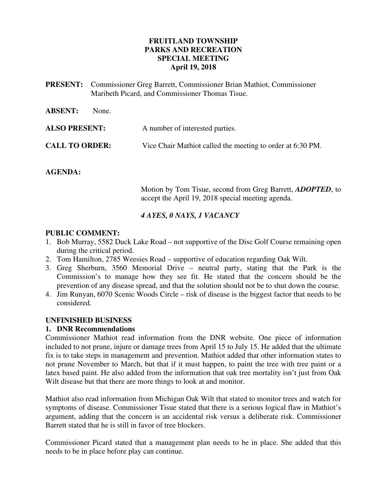## **FRUITLAND TOWNSHIP PARKS AND RECREATION SPECIAL MEETING April 19, 2018**

**PRESENT:** Commissioner Greg Barrett, Commissioner Brian Mathiot, Commissioner Maribeth Picard, and Commissioner Thomas Tisue.

| <b>ABSENT:</b>        | None.                                                      |
|-----------------------|------------------------------------------------------------|
| <b>ALSO PRESENT:</b>  | A number of interested parties.                            |
| <b>CALL TO ORDER:</b> | Vice Chair Mathiot called the meeting to order at 6:30 PM. |

## **AGENDA:**

 Motion by Tom Tisue, second from Greg Barrett, *ADOPTED*, to accept the April 19, 2018 special meeting agenda.

## *4 AYES, 0 NAYS, 1 VACANCY*

## **PUBLIC COMMENT:**

- 1. Bob Murray, 5582 Duck Lake Road not supportive of the Disc Golf Course remaining open during the critical period.
- 2. Tom Hamilton, 2785 Weesies Road supportive of education regarding Oak Wilt.
- 3. Greg Sherburn, 3560 Memorial Drive neutral party, stating that the Park is the Commission's to manage how they see fit. He stated that the concern should be the prevention of any disease spread, and that the solution should not be to shut down the course.
- 4. Jim Runyan, 6070 Scenic Woods Circle risk of disease is the biggest factor that needs to be considered.

## **UNFINISHED BUSINESS**

## **1. DNR Recommendations**

Commissioner Mathiot read information from the DNR website. One piece of information included to not prune, injure or damage trees from April 15 to July 15. He added that the ultimate fix is to take steps in management and prevention. Mathiot added that other information states to not prune November to March, but that if it must happen, to paint the tree with tree paint or a latex based paint. He also added from the information that oak tree mortality isn't just from Oak Wilt disease but that there are more things to look at and monitor.

Mathiot also read information from Michigan Oak Wilt that stated to monitor trees and watch for symptoms of disease. Commissioner Tisue stated that there is a serious logical flaw in Mathiot's argument, adding that the concern is an accidental risk versus a deliberate risk. Commissioner Barrett stated that he is still in favor of tree blockers.

Commissioner Picard stated that a management plan needs to be in place. She added that this needs to be in place before play can continue.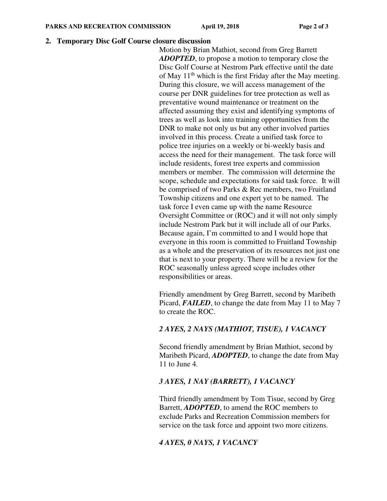#### **2. Temporary Disc Golf Course closure discussion**

Motion by Brian Mathiot, second from Greg Barrett *ADOPTED*, to propose a motion to temporary close the Disc Golf Course at Nestrom Park effective until the date of May  $11<sup>th</sup>$  which is the first Friday after the May meeting. During this closure, we will access management of the course per DNR guidelines for tree protection as well as preventative wound maintenance or treatment on the affected assuming they exist and identifying symptoms of trees as well as look into training opportunities from the DNR to make not only us but any other involved parties involved in this process. Create a unified task force to police tree injuries on a weekly or bi-weekly basis and access the need for their management. The task force will include residents, forest tree experts and commission members or member. The commission will determine the scope, schedule and expectations for said task force. It will be comprised of two Parks & Rec members, two Fruitland Township citizens and one expert yet to be named. The task force I even came up with the name Resource Oversight Committee or (ROC) and it will not only simply include Nestrom Park but it will include all of our Parks. Because again, I'm committed to and I would hope that everyone in this room is committed to Fruitland Township as a whole and the preservation of its resources not just one that is next to your property. There will be a review for the ROC seasonally unless agreed scope includes other responsibilities or areas.

Friendly amendment by Greg Barrett, second by Maribeth Picard, *FAILED*, to change the date from May 11 to May 7 to create the ROC.

## *2 AYES, 2 NAYS (MATHIOT, TISUE), 1 VACANCY*

Second friendly amendment by Brian Mathiot, second by Maribeth Picard, *ADOPTED*, to change the date from May 11 to June 4.

# *3 AYES, 1 NAY (BARRETT), 1 VACANCY*

Third friendly amendment by Tom Tisue, second by Greg Barrett, *ADOPTED*, to amend the ROC members to exclude Parks and Recreation Commission members for service on the task force and appoint two more citizens.

## *4 AYES, 0 NAYS, 1 VACANCY*